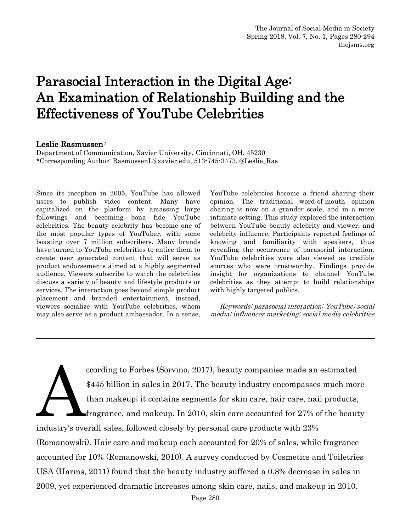# Parasocial Interaction in the Digital Age: An Examination of Relationship Building and the Effectiveness of YouTube Celebrities

#### Leslie Rasmussen<sup>1</sup>

Department of Communication, Xavier University, Cincinnati, OH, 45230 \*Corresponding Author: RasmussenL@xavier.edu, 513-745-3473, @Leslie\_Ras

Since its inception in 2005, YouTube has allowed users to publish video content. Many have capitalized on the platform by amassing large followings and becoming bona fide YouTube celebrities. The beauty celebrity has become one of the most popular types of YouTuber, with some boasting over 7 million subscribers. Many brands have turned to YouTube celebrities to entice them to create user generated content that will serve as product endorsements aimed at a highly segmented audience. Viewers subscribe to watch the celebrities discuss a variety of beauty and lifestyle products or services. The interaction goes beyond simple product placement and branded entertainment, instead, viewers socialize with YouTube celebrities, whom may also serve as a product ambassador. In a sense,

YouTube celebrities become a friend sharing their opinion. The traditional word-of-mouth opinion sharing is now on a grander scale, and in a more intimate setting. This study explored the interaction between YouTube beauty celebrity and viewer, and celebrity influence. Participants reported feelings of knowing and familiarity with speakers, thus revealing the occurrence of parasocial interaction. YouTube celebrities were also viewed as credible sources who were trustworthy. Findings provide insight for organizations to channel YouTube celebrities as they attempt to build relationships with highly targeted publics.

 Keywords: parasocial interaction; YouTube; social media; influencer marketing; social media celebrities

ccording to Forbes (Sorvino, 2017), beauty companies made an estimated \$445 billion in sales in 2017. The beauty industry encompasses much more than makeup; it contains segments for skin care, hair care, nail products, fragrance, and makeup. In 2010, skin care accounted for 27% of the beauty industry's overall sales, followed closely by personal care products with 23% (Romanowski). Hair care and makeup each accounted for 20% of sales, while fragrance accounted for 10% (Romanowski, 2010). A survey conducted by Cosmetics and Toiletries USA (Harms, 2011) found that the beauty industry suffered a 0.8% decrease in sales in 2009, yet experienced dramatic increases among skin care, nails, and makeup in 2010. A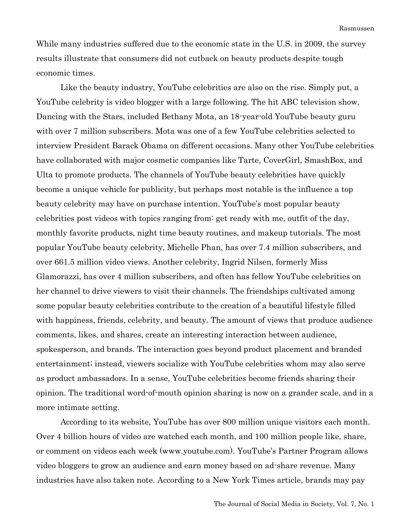While many industries suffered due to the economic state in the U.S. in 2009, the survey results illustrate that consumers did not cutback on beauty products despite tough economic times.

Like the beauty industry, YouTube celebrities are also on the rise. Simply put, a YouTube celebrity is video blogger with a large following. The hit ABC television show, Dancing with the Stars, included Bethany Mota, an 18-year-old YouTube beauty guru with over 7 million subscribers. Mota was one of a few YouTube celebrities selected to interview President Barack Obama on different occasions. Many other YouTube celebrities have collaborated with major cosmetic companies like Tarte, CoverGirl, SmashBox, and Ulta to promote products. The channels of YouTube beauty celebrities have quickly become a unique vehicle for publicity, but perhaps most notable is the influence a top beauty celebrity may have on purchase intention. YouTube's most popular beauty celebrities post videos with topics ranging from: get ready with me, outfit of the day, monthly favorite products, night time beauty routines, and makeup tutorials. The most popular YouTube beauty celebrity, Michelle Phan, has over 7.4 million subscribers, and over 661.5 million video views. Another celebrity, Ingrid Nilsen, formerly Miss Glamorazzi, has over 4 million subscribers, and often has fellow YouTube celebrities on her channel to drive viewers to visit their channels. The friendships cultivated among some popular beauty celebrities contribute to the creation of a beautiful lifestyle filled with happiness, friends, celebrity, and beauty. The amount of views that produce audience comments, likes, and shares, create an interesting interaction between audience, spokesperson, and brands. The interaction goes beyond product placement and branded entertainment; instead, viewers socialize with YouTube celebrities whom may also serve as product ambassadors. In a sense, YouTube celebrities become friends sharing their opinion. The traditional word-of-mouth opinion sharing is now on a grander scale, and in a more intimate setting.

 According to its website, YouTube has over 800 million unique visitors each month. Over 4 billion hours of video are watched each month, and 100 million people like, share, or comment on videos each week (www.youtube.com). YouTube's Partner Program allows video bloggers to grow an audience and earn money based on ad-share revenue. Many industries have also taken note. According to a New York Times article, brands may pay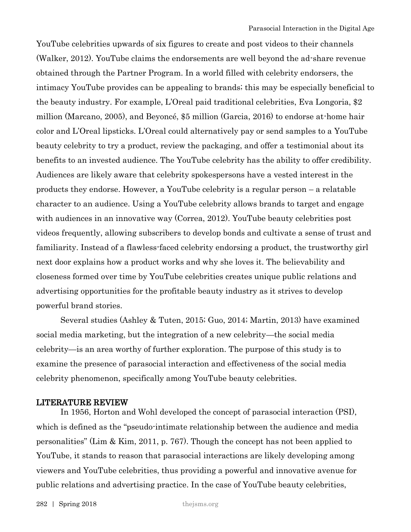YouTube celebrities upwards of six figures to create and post videos to their channels (Walker, 2012). YouTube claims the endorsements are well beyond the ad-share revenue obtained through the Partner Program. In a world filled with celebrity endorsers, the intimacy YouTube provides can be appealing to brands; this may be especially beneficial to the beauty industry. For example, L'Oreal paid traditional celebrities, Eva Longoria, \$2 million (Marcano, 2005), and Beyoncé, \$5 million (Garcia, 2016) to endorse at-home hair color and L'Oreal lipsticks. L'Oreal could alternatively pay or send samples to a YouTube beauty celebrity to try a product, review the packaging, and offer a testimonial about its benefits to an invested audience. The YouTube celebrity has the ability to offer credibility. Audiences are likely aware that celebrity spokespersons have a vested interest in the products they endorse. However, a YouTube celebrity is a regular person – a relatable character to an audience. Using a YouTube celebrity allows brands to target and engage with audiences in an innovative way (Correa, 2012). YouTube beauty celebrities post videos frequently, allowing subscribers to develop bonds and cultivate a sense of trust and familiarity. Instead of a flawless-faced celebrity endorsing a product, the trustworthy girl next door explains how a product works and why she loves it. The believability and closeness formed over time by YouTube celebrities creates unique public relations and advertising opportunities for the profitable beauty industry as it strives to develop powerful brand stories.

Several studies (Ashley & Tuten, 2015; Guo, 2014; Martin, 2013) have examined social media marketing, but the integration of a new celebrity—the social media celebrity—is an area worthy of further exploration. The purpose of this study is to examine the presence of parasocial interaction and effectiveness of the social media celebrity phenomenon, specifically among YouTube beauty celebrities.

### LITERATURE REVIEW

In 1956, Horton and Wohl developed the concept of parasocial interaction (PSI), which is defined as the "pseudo-intimate relationship between the audience and media personalities" (Lim & Kim, 2011, p. 767). Though the concept has not been applied to YouTube, it stands to reason that parasocial interactions are likely developing among viewers and YouTube celebrities, thus providing a powerful and innovative avenue for public relations and advertising practice. In the case of YouTube beauty celebrities,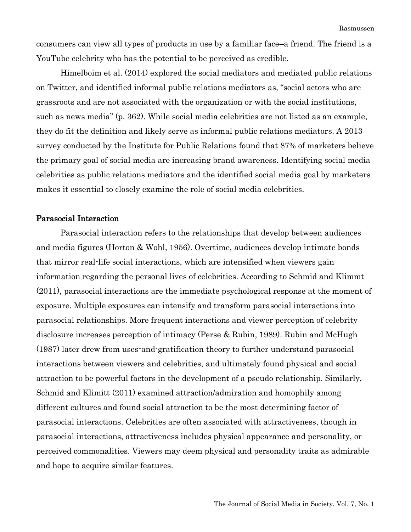consumers can view all types of products in use by a familiar face–a friend. The friend is a YouTube celebrity who has the potential to be perceived as credible.

Himelboim et al. (2014) explored the social mediators and mediated public relations on Twitter, and identified informal public relations mediators as, "social actors who are grassroots and are not associated with the organization or with the social institutions, such as news media" (p. 362). While social media celebrities are not listed as an example, they do fit the definition and likely serve as informal public relations mediators. A 2013 survey conducted by the Institute for Public Relations found that 87% of marketers believe the primary goal of social media are increasing brand awareness. Identifying social media celebrities as public relations mediators and the identified social media goal by marketers makes it essential to closely examine the role of social media celebrities.

### Parasocial Interaction

Parasocial interaction refers to the relationships that develop between audiences and media figures (Horton & Wohl, 1956). Overtime, audiences develop intimate bonds that mirror real-life social interactions, which are intensified when viewers gain information regarding the personal lives of celebrities. According to Schmid and Klimmt (2011), parasocial interactions are the immediate psychological response at the moment of exposure. Multiple exposures can intensify and transform parasocial interactions into parasocial relationships. More frequent interactions and viewer perception of celebrity disclosure increases perception of intimacy (Perse & Rubin, 1989). Rubin and McHugh (1987) later drew from uses-and-gratification theory to further understand parasocial interactions between viewers and celebrities, and ultimately found physical and social attraction to be powerful factors in the development of a pseudo relationship. Similarly, Schmid and Klimitt (2011) examined attraction/admiration and homophily among different cultures and found social attraction to be the most determining factor of parasocial interactions. Celebrities are often associated with attractiveness, though in parasocial interactions, attractiveness includes physical appearance and personality, or perceived commonalities. Viewers may deem physical and personality traits as admirable and hope to acquire similar features.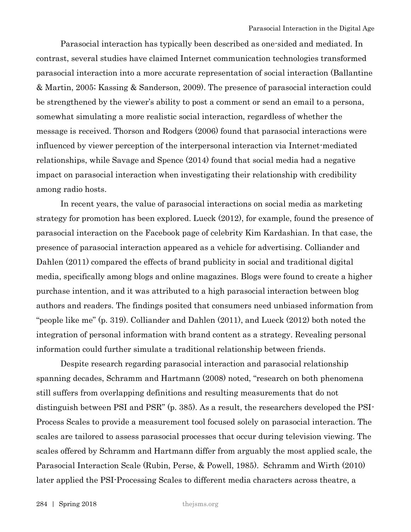Parasocial interaction has typically been described as one-sided and mediated. In contrast, several studies have claimed Internet communication technologies transformed parasocial interaction into a more accurate representation of social interaction (Ballantine & Martin, 2005; Kassing & Sanderson, 2009). The presence of parasocial interaction could be strengthened by the viewer's ability to post a comment or send an email to a persona, somewhat simulating a more realistic social interaction, regardless of whether the message is received. Thorson and Rodgers (2006) found that parasocial interactions were influenced by viewer perception of the interpersonal interaction via Internet-mediated relationships, while Savage and Spence (2014) found that social media had a negative impact on parasocial interaction when investigating their relationship with credibility among radio hosts.

In recent years, the value of parasocial interactions on social media as marketing strategy for promotion has been explored. Lueck (2012), for example, found the presence of parasocial interaction on the Facebook page of celebrity Kim Kardashian. In that case, the presence of parasocial interaction appeared as a vehicle for advertising. Colliander and Dahlen (2011) compared the effects of brand publicity in social and traditional digital media, specifically among blogs and online magazines. Blogs were found to create a higher purchase intention, and it was attributed to a high parasocial interaction between blog authors and readers. The findings posited that consumers need unbiased information from "people like me" (p. 319). Colliander and Dahlen (2011), and Lueck (2012) both noted the integration of personal information with brand content as a strategy. Revealing personal information could further simulate a traditional relationship between friends.

Despite research regarding parasocial interaction and parasocial relationship spanning decades, Schramm and Hartmann (2008) noted, "research on both phenomena still suffers from overlapping definitions and resulting measurements that do not distinguish between PSI and PSR" (p. 385). As a result, the researchers developed the PSI-Process Scales to provide a measurement tool focused solely on parasocial interaction. The scales are tailored to assess parasocial processes that occur during television viewing. The scales offered by Schramm and Hartmann differ from arguably the most applied scale, the Parasocial Interaction Scale (Rubin, Perse, & Powell, 1985). Schramm and Wirth (2010) later applied the PSI-Processing Scales to different media characters across theatre, a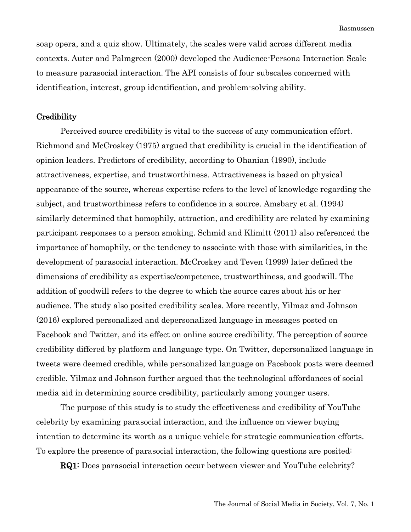soap opera, and a quiz show. Ultimately, the scales were valid across different media contexts. Auter and Palmgreen (2000) developed the Audience-Persona Interaction Scale to measure parasocial interaction. The API consists of four subscales concerned with identification, interest, group identification, and problem-solving ability.

#### **Credibility**

Perceived source credibility is vital to the success of any communication effort. Richmond and McCroskey (1975) argued that credibility is crucial in the identification of opinion leaders. Predictors of credibility, according to Ohanian (1990), include attractiveness, expertise, and trustworthiness. Attractiveness is based on physical appearance of the source, whereas expertise refers to the level of knowledge regarding the subject, and trustworthiness refers to confidence in a source. Amsbary et al. (1994) similarly determined that homophily, attraction, and credibility are related by examining participant responses to a person smoking. Schmid and Klimitt (2011) also referenced the importance of homophily, or the tendency to associate with those with similarities, in the development of parasocial interaction. McCroskey and Teven (1999) later defined the dimensions of credibility as expertise/competence, trustworthiness, and goodwill. The addition of goodwill refers to the degree to which the source cares about his or her audience. The study also posited credibility scales. More recently, Yilmaz and Johnson (2016) explored personalized and depersonalized language in messages posted on Facebook and Twitter, and its effect on online source credibility. The perception of source credibility differed by platform and language type. On Twitter, depersonalized language in tweets were deemed credible, while personalized language on Facebook posts were deemed credible. Yilmaz and Johnson further argued that the technological affordances of social media aid in determining source credibility, particularly among younger users.

The purpose of this study is to study the effectiveness and credibility of YouTube celebrity by examining parasocial interaction, and the influence on viewer buying intention to determine its worth as a unique vehicle for strategic communication efforts. To explore the presence of parasocial interaction, the following questions are posited:

**RQ1:** Does parasocial interaction occur between viewer and YouTube celebrity?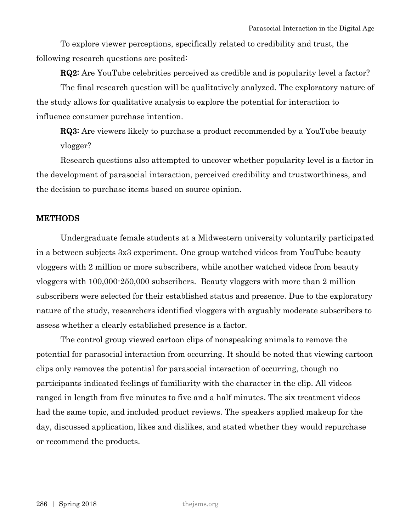To explore viewer perceptions, specifically related to credibility and trust, the following research questions are posited:

**RQ2:** Are YouTube celebrities perceived as credible and is popularity level a factor?

The final research question will be qualitatively analyzed. The exploratory nature of the study allows for qualitative analysis to explore the potential for interaction to influence consumer purchase intention.

**RQ3:** Are viewers likely to purchase a product recommended by a YouTube beauty vlogger?

Research questions also attempted to uncover whether popularity level is a factor in the development of parasocial interaction, perceived credibility and trustworthiness, and the decision to purchase items based on source opinion.

### **METHODS**

Undergraduate female students at a Midwestern university voluntarily participated in a between subjects 3x3 experiment. One group watched videos from YouTube beauty vloggers with 2 million or more subscribers, while another watched videos from beauty vloggers with 100,000-250,000 subscribers. Beauty vloggers with more than 2 million subscribers were selected for their established status and presence. Due to the exploratory nature of the study, researchers identified vloggers with arguably moderate subscribers to assess whether a clearly established presence is a factor.

The control group viewed cartoon clips of nonspeaking animals to remove the potential for parasocial interaction from occurring. It should be noted that viewing cartoon clips only removes the potential for parasocial interaction of occurring, though no participants indicated feelings of familiarity with the character in the clip. All videos ranged in length from five minutes to five and a half minutes. The six treatment videos had the same topic, and included product reviews. The speakers applied makeup for the day, discussed application, likes and dislikes, and stated whether they would repurchase or recommend the products.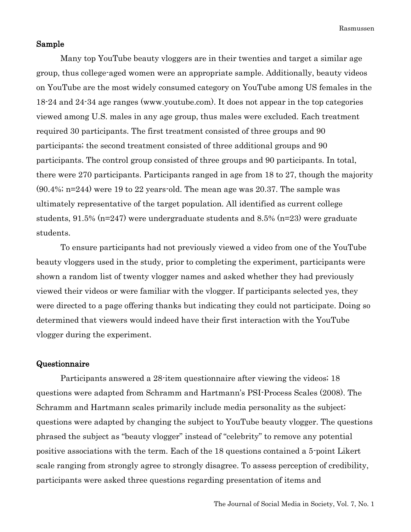Rasmussen

### Sample

Many top YouTube beauty vloggers are in their twenties and target a similar age group, thus college-aged women were an appropriate sample. Additionally, beauty videos on YouTube are the most widely consumed category on YouTube among US females in the 18-24 and 24-34 age ranges (www.youtube.com). It does not appear in the top categories viewed among U.S. males in any age group, thus males were excluded. Each treatment required 30 participants. The first treatment consisted of three groups and 90 participants; the second treatment consisted of three additional groups and 90 participants. The control group consisted of three groups and 90 participants. In total, there were 270 participants. Participants ranged in age from 18 to 27, though the majority (90.4%; n=244) were 19 to 22 years-old. The mean age was 20.37. The sample was ultimately representative of the target population. All identified as current college students, 91.5% (n=247) were undergraduate students and 8.5% (n=23) were graduate students.

To ensure participants had not previously viewed a video from one of the YouTube beauty vloggers used in the study, prior to completing the experiment, participants were shown a random list of twenty vlogger names and asked whether they had previously viewed their videos or were familiar with the vlogger. If participants selected yes, they were directed to a page offering thanks but indicating they could not participate. Doing so determined that viewers would indeed have their first interaction with the YouTube vlogger during the experiment.

#### Questionnaire

Participants answered a 28-item questionnaire after viewing the videos; 18 questions were adapted from Schramm and Hartmann's PSI-Process Scales (2008). The Schramm and Hartmann scales primarily include media personality as the subject; questions were adapted by changing the subject to YouTube beauty vlogger. The questions phrased the subject as "beauty vlogger" instead of "celebrity" to remove any potential positive associations with the term. Each of the 18 questions contained a 5-point Likert scale ranging from strongly agree to strongly disagree. To assess perception of credibility, participants were asked three questions regarding presentation of items and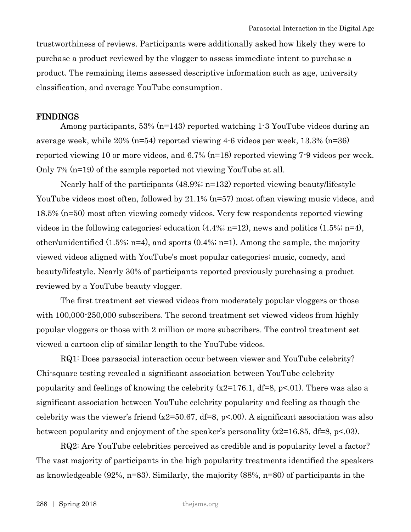trustworthiness of reviews. Participants were additionally asked how likely they were to purchase a product reviewed by the vlogger to assess immediate intent to purchase a product. The remaining items assessed descriptive information such as age, university classification, and average YouTube consumption.

#### FINDINGS

Among participants, 53% (n=143) reported watching 1-3 YouTube videos during an average week, while 20% (n=54) reported viewing 4-6 videos per week, 13.3% (n=36) reported viewing 10 or more videos, and 6.7% (n=18) reported viewing 7-9 videos per week. Only 7% (n=19) of the sample reported not viewing YouTube at all.

Nearly half of the participants (48.9%; n=132) reported viewing beauty/lifestyle YouTube videos most often, followed by 21.1% (n=57) most often viewing music videos, and 18.5% (n=50) most often viewing comedy videos. Very few respondents reported viewing videos in the following categories: education  $(4.4\%$ ; n=12), news and politics  $(1.5\%$ ; n=4), other/unidentified (1.5%; n=4), and sports (0.4%; n=1). Among the sample, the majority viewed videos aligned with YouTube's most popular categories: music, comedy, and beauty/lifestyle. Nearly 30% of participants reported previously purchasing a product reviewed by a YouTube beauty vlogger.

The first treatment set viewed videos from moderately popular vloggers or those with  $100,000-250,000$  subscribers. The second treatment set viewed videos from highly popular vloggers or those with 2 million or more subscribers. The control treatment set viewed a cartoon clip of similar length to the YouTube videos.

RQ1: Does parasocial interaction occur between viewer and YouTube celebrity? Chi-square testing revealed a significant association between YouTube celebrity popularity and feelings of knowing the celebrity  $(x2=176.1, df=8, p<.01)$ . There was also a significant association between YouTube celebrity popularity and feeling as though the celebrity was the viewer's friend  $(x2=50.67, df=8, p<.00)$ . A significant association was also between popularity and enjoyment of the speaker's personality  $(x2=16.85, df=8, p<.03)$ .

RQ2: Are YouTube celebrities perceived as credible and is popularity level a factor? The vast majority of participants in the high popularity treatments identified the speakers as knowledgeable (92%, n=83). Similarly, the majority (88%, n=80) of participants in the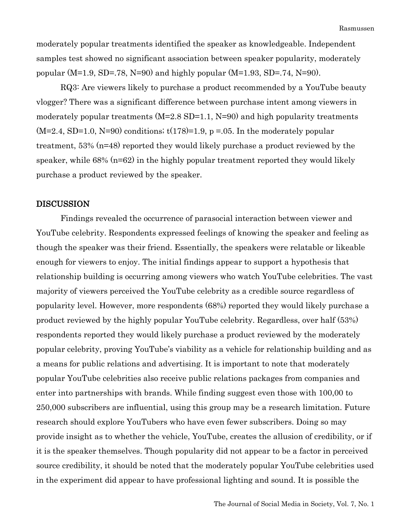moderately popular treatments identified the speaker as knowledgeable. Independent samples test showed no significant association between speaker popularity, moderately popular (M=1.9, SD=.78, N=90) and highly popular (M=1.93, SD=.74, N=90).

RQ3: Are viewers likely to purchase a product recommended by a YouTube beauty vlogger? There was a significant difference between purchase intent among viewers in moderately popular treatments (M=2.8 SD=1.1, N=90) and high popularity treatments  $(M=2.4, SD=1.0, N=90)$  conditions;  $t(178)=1.9$ ,  $p=.05$ . In the moderately popular treatment, 53% (n=48) reported they would likely purchase a product reviewed by the speaker, while  $68\%$  ( $n=62$ ) in the highly popular treatment reported they would likely purchase a product reviewed by the speaker.

### **DISCUSSION**

Findings revealed the occurrence of parasocial interaction between viewer and YouTube celebrity. Respondents expressed feelings of knowing the speaker and feeling as though the speaker was their friend. Essentially, the speakers were relatable or likeable enough for viewers to enjoy. The initial findings appear to support a hypothesis that relationship building is occurring among viewers who watch YouTube celebrities. The vast majority of viewers perceived the YouTube celebrity as a credible source regardless of popularity level. However, more respondents (68%) reported they would likely purchase a product reviewed by the highly popular YouTube celebrity. Regardless, over half (53%) respondents reported they would likely purchase a product reviewed by the moderately popular celebrity, proving YouTube's viability as a vehicle for relationship building and as a means for public relations and advertising. It is important to note that moderately popular YouTube celebrities also receive public relations packages from companies and enter into partnerships with brands. While finding suggest even those with 100,00 to 250,000 subscribers are influential, using this group may be a research limitation. Future research should explore YouTubers who have even fewer subscribers. Doing so may provide insight as to whether the vehicle, YouTube, creates the allusion of credibility, or if it is the speaker themselves. Though popularity did not appear to be a factor in perceived source credibility, it should be noted that the moderately popular YouTube celebrities used in the experiment did appear to have professional lighting and sound. It is possible the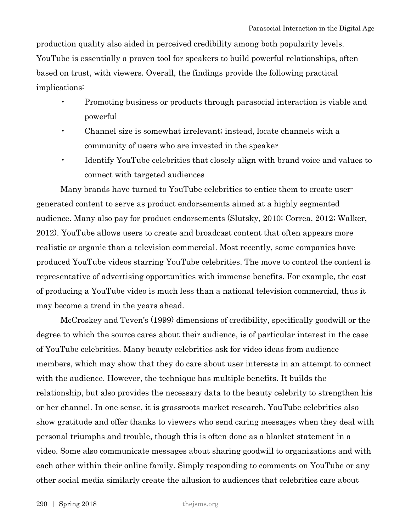production quality also aided in perceived credibility among both popularity levels. YouTube is essentially a proven tool for speakers to build powerful relationships, often based on trust, with viewers. Overall, the findings provide the following practical implications:

- Promoting business or products through parasocial interaction is viable and powerful
- Channel size is somewhat irrelevant; instead, locate channels with a community of users who are invested in the speaker
- Identify YouTube celebrities that closely align with brand voice and values to connect with targeted audiences

Many brands have turned to YouTube celebrities to entice them to create usergenerated content to serve as product endorsements aimed at a highly segmented audience. Many also pay for product endorsements (Slutsky, 2010; Correa, 2012; Walker, 2012). YouTube allows users to create and broadcast content that often appears more realistic or organic than a television commercial. Most recently, some companies have produced YouTube videos starring YouTube celebrities. The move to control the content is representative of advertising opportunities with immense benefits. For example, the cost of producing a YouTube video is much less than a national television commercial, thus it may become a trend in the years ahead.

McCroskey and Teven's (1999) dimensions of credibility, specifically goodwill or the degree to which the source cares about their audience, is of particular interest in the case of YouTube celebrities. Many beauty celebrities ask for video ideas from audience members, which may show that they do care about user interests in an attempt to connect with the audience. However, the technique has multiple benefits. It builds the relationship, but also provides the necessary data to the beauty celebrity to strengthen his or her channel. In one sense, it is grassroots market research. YouTube celebrities also show gratitude and offer thanks to viewers who send caring messages when they deal with personal triumphs and trouble, though this is often done as a blanket statement in a video. Some also communicate messages about sharing goodwill to organizations and with each other within their online family. Simply responding to comments on YouTube or any other social media similarly create the allusion to audiences that celebrities care about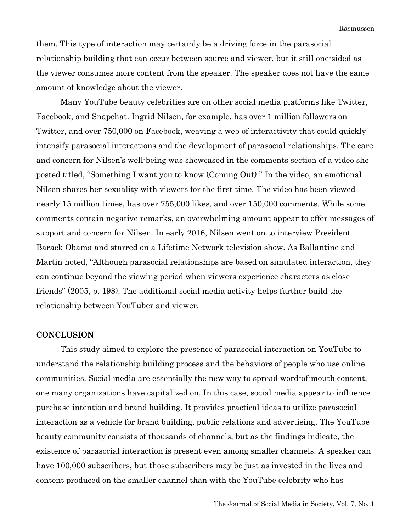them. This type of interaction may certainly be a driving force in the parasocial relationship building that can occur between source and viewer, but it still one-sided as the viewer consumes more content from the speaker. The speaker does not have the same amount of knowledge about the viewer.

Many YouTube beauty celebrities are on other social media platforms like Twitter, Facebook, and Snapchat. Ingrid Nilsen, for example, has over 1 million followers on Twitter, and over 750,000 on Facebook, weaving a web of interactivity that could quickly intensify parasocial interactions and the development of parasocial relationships. The care and concern for Nilsen's well-being was showcased in the comments section of a video she posted titled, "Something I want you to know (Coming Out)." In the video, an emotional Nilsen shares her sexuality with viewers for the first time. The video has been viewed nearly 15 million times, has over 755,000 likes, and over 150,000 comments. While some comments contain negative remarks, an overwhelming amount appear to offer messages of support and concern for Nilsen. In early 2016, Nilsen went on to interview President Barack Obama and starred on a Lifetime Network television show. As Ballantine and Martin noted, "Although parasocial relationships are based on simulated interaction, they can continue beyond the viewing period when viewers experience characters as close friends" (2005, p. 198). The additional social media activity helps further build the relationship between YouTuber and viewer.

#### **CONCLUSION**

This study aimed to explore the presence of parasocial interaction on YouTube to understand the relationship building process and the behaviors of people who use online communities. Social media are essentially the new way to spread word-of-mouth content, one many organizations have capitalized on. In this case, social media appear to influence purchase intention and brand building. It provides practical ideas to utilize parasocial interaction as a vehicle for brand building, public relations and advertising. The YouTube beauty community consists of thousands of channels, but as the findings indicate, the existence of parasocial interaction is present even among smaller channels. A speaker can have 100,000 subscribers, but those subscribers may be just as invested in the lives and content produced on the smaller channel than with the YouTube celebrity who has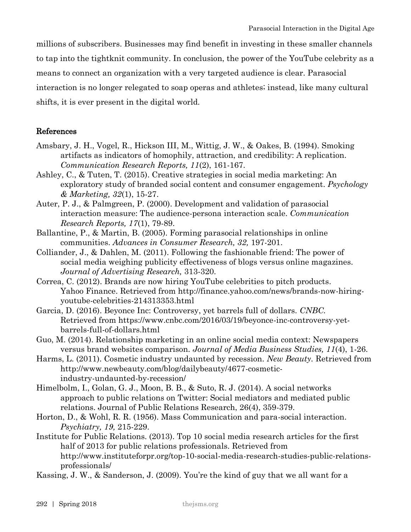millions of subscribers. Businesses may find benefit in investing in these smaller channels to tap into the tightknit community. In conclusion, the power of the YouTube celebrity as a means to connect an organization with a very targeted audience is clear. Parasocial interaction is no longer relegated to soap operas and athletes; instead, like many cultural shifts, it is ever present in the digital world.

## References

- Amsbary, J. H., Vogel, R., Hickson III, M., Wittig, J. W., & Oakes, B. (1994). Smoking artifacts as indicators of homophily, attraction, and credibility: A replication. *Communication Research Reports, 11*(2), 161-167.
- Ashley, C., & Tuten, T. (2015). Creative strategies in social media marketing: An exploratory study of branded social content and consumer engagement. *Psychology & Marketing, 32*(1), 15-27.
- Auter, P. J., & Palmgreen, P. (2000). Development and validation of parasocial interaction measure: The audience-persona interaction scale. *Communication Research Reports, 17*(1), 79-89.
- Ballantine, P., & Martin, B. (2005). Forming parasocial relationships in online communities. *Advances in Consumer Research, 32,* 197-201.
- Colliander, J., & Dahlen, M. (2011). Following the fashionable friend: The power of social media weighing publicity effectiveness of blogs versus online magazines. *Journal of Advertising Research,* 313-320.
- Correa, C. (2012). Brands are now hiring YouTube celebrities to pitch products. Yahoo Finance. Retrieved from http://finance.yahoo.com/news/brands-now-hiringyoutube-celebrities-214313353.html
- Garcia, D. (2016). Beyonce Inc: Controversy, yet barrels full of dollars. *CNBC.* Retrieved from https://www.cnbc.com/2016/03/19/beyonce-inc-controversy-yetbarrels-full-of-dollars.html
- Guo, M. (2014). Relationship marketing in an online social media context: Newspapers versus brand websites comparison. *Journal of Media Business Studies, 11*(4), 1-26.
- Harms, L. (2011). Cosmetic industry undaunted by recession. *New Beauty.* Retrieved from http://www.newbeauty.com/blog/dailybeauty/4677-cosmeticindustry-undaunted-by-recession/
- Himelbolm, I., Golan, G. J., Moon, B. B., & Suto, R. J. (2014). A social networks approach to public relations on Twitter: Social mediators and mediated public relations. Journal of Public Relations Research, 26(4), 359-379.
- Horton, D., & Wohl, R. R. (1956). Mass Communication and para-social interaction. *Psychiatry, 19,* 215-229.
- Institute for Public Relations. (2013). Top 10 social media research articles for the first half of 2013 for public relations professionals. Retrieved from http://www.instituteforpr.org/top-10-social-media-research-studies-public-relationsprofessionals/
- Kassing, J. W., & Sanderson, J. (2009). You're the kind of guy that we all want for a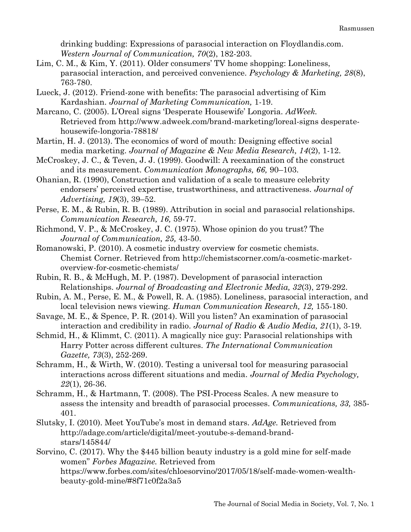drinking budding: Expressions of parasocial interaction on Floydlandis.com. *Western Journal of Communication, 70*(2), 182-203.

- Lim, C. M., & Kim, Y. (2011). Older consumers' TV home shopping: Loneliness, parasocial interaction, and perceived convenience. *Psychology & Marketing, 28*(8), 763-780.
- Lueck, J. (2012). Friend-zone with benefits: The parasocial advertising of Kim Kardashian. *Journal of Marketing Communication,* 1-19.
- Marcano, C. (2005). L'Oreal signs 'Desperate Housewife' Longoria. *AdWeek.* Retrieved from http://www.adweek.com/brand-marketing/loreal-signs desperatehousewife-longoria-78818/
- Martin, H. J. (2013). The economics of word of mouth: Designing effective social media marketing. *Journal of Magazine & New Media Research, 14*(2), 1-12.
- McCroskey, J. C., & Teven, J. J. (1999). Goodwill: A reexamination of the construct and its measurement. *Communication Monographs, 66,* 90–103.
- Ohanian, R. (1990), Construction and validation of a scale to measure celebrity endorsers' perceived expertise, trustworthiness, and attractiveness. *Journal of Advertising, 19*(3), 39–52.
- Perse, E. M., & Rubin, R. B. (1989). Attribution in social and parasocial relationships. *Communication Research, 16,* 59-77.
- Richmond, V. P., & McCroskey, J. C. (1975). Whose opinion do you trust? The *Journal of Communication, 25,* 43-50.
- Romanowski, P. (2010). A cosmetic industry overview for cosmetic chemists. Chemist Corner. Retrieved from http://chemistscorner.com/a-cosmetic-marketoverview-for-cosmetic-chemists/
- Rubin, R. B., & McHugh, M. P. (1987). Development of parasocial interaction Relationships. *Journal of Broadcasting and Electronic Media, 32*(3), 279-292.
- Rubin, A. M., Perse, E. M., & Powell, R. A. (1985). Loneliness, parasocial interaction, and local television news viewing. *Human Communication Research, 12,* 155-180.
- Savage, M. E., & Spence, P. R. (2014). Will you listen? An examination of parasocial interaction and credibility in radio. *Journal of Radio & Audio Media, 21*(1), 3-19.
- Schmid, H., & Klimmt, C. (2011). A magically nice guy: Parasocial relationships with Harry Potter across different cultures. *The International Communication Gazette, 73*(3), 252-269.
- Schramm, H., & Wirth, W. (2010). Testing a universal tool for measuring parasocial interactions across different situations and media. *Journal of Media Psychology, 22*(1), 26-36.
- Schramm, H., & Hartmann, T. (2008). The PSI-Process Scales. A new measure to assess the intensity and breadth of parasocial processes. *Communications, 33,* 385- 401.
- Slutsky, I. (2010). Meet YouTube's most in demand stars. *AdAge.* Retrieved from http://adage.com/article/digital/meet-youtube-s-demand-brandstars/145844/
- Sorvino, C. (2017). Why the \$445 billion beauty industry is a gold mine for self-made women" *Forbes Magazine.* Retrieved from https://www.forbes.com/sites/chloesorvino/2017/05/18/self-made-women-wealthbeauty-gold-mine/#8f71c0f2a3a5